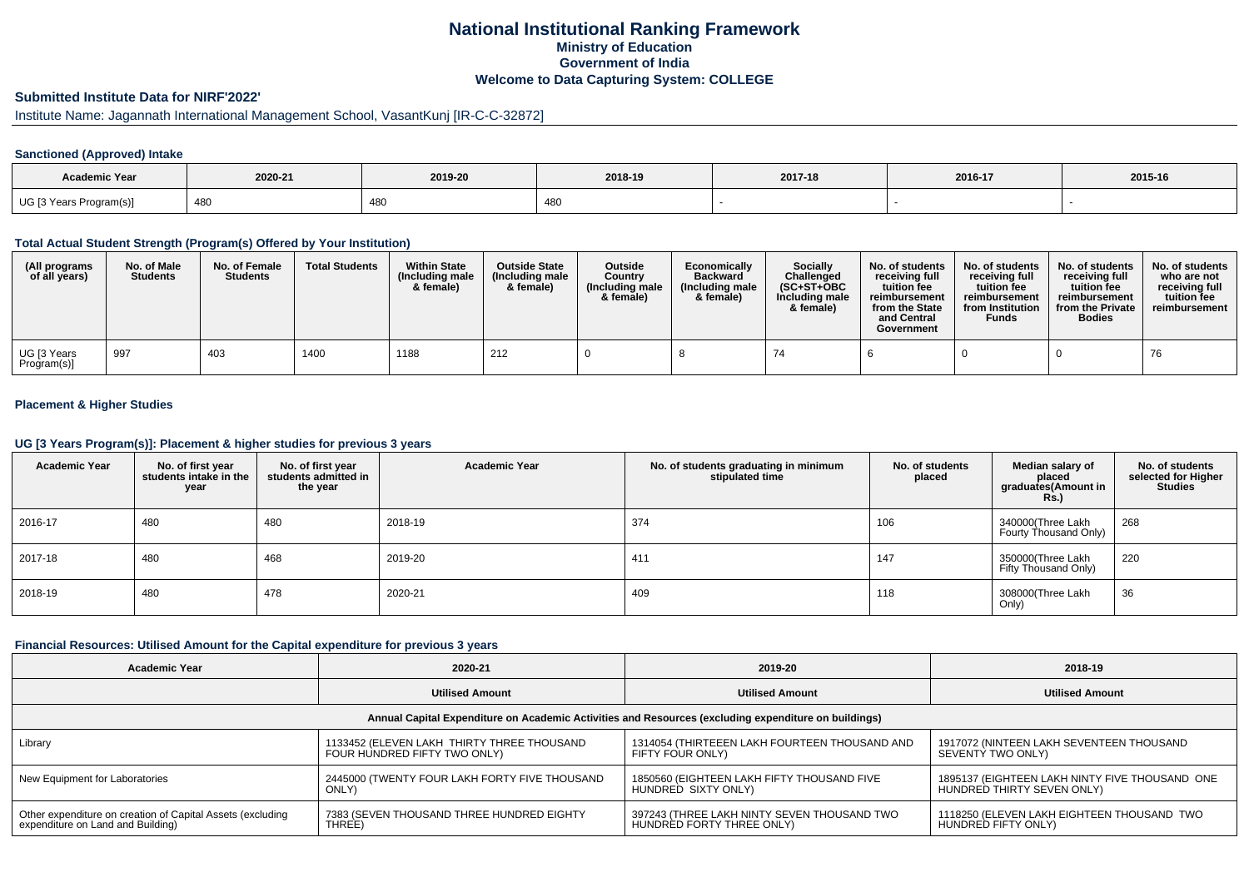## **National Institutional Ranking FrameworkMinistry of Education Government of IndiaWelcome to Data Capturing System: COLLEGE**

## **Submitted Institute Data for NIRF'2022'**

## Institute Name: Jagannath International Management School, VasantKunj [IR-C-C-32872]

### **Sanctioned (Approved) Intake**

| <b>Academic Year</b>    | 2020-21 | 2019-20      | 2018-19 | 2017-18 | 2016-17 | 2015-16 |
|-------------------------|---------|--------------|---------|---------|---------|---------|
| UG [3 Years Program(s)] | 480     | 48<br>$-10o$ | $\sim$  |         |         |         |

#### **Total Actual Student Strength (Program(s) Offered by Your Institution)**

| (All programs<br>of all years) | No. of Male<br><b>Students</b> | No. of Female<br><b>Students</b> | <b>Total Students</b> | <b>Within State</b><br>(Including male<br>& female) | <b>Outside State</b><br>(Including male<br>& female) | <b>Outside</b><br>Country<br>(Including male<br>& female) | Economically<br><b>Backward</b><br>(Including male)<br>& female) | <b>Socially</b><br>Challenged<br>$(SC+ST+OBC)$<br>Including male<br>& female) | No. of students<br>receivina full<br>tuition fee<br>reimbursement<br>from the State<br>and Central<br>Government | No. of students<br>receiving full<br>tuition fee<br>reimbursement<br>from Institution<br><b>Funds</b> | No. of students<br>receiving full<br>tuition fee<br>reimbursement<br>from the Private<br><b>Bodies</b> | No. of students<br>who are not<br>receiving full<br>tuition fee<br>reimbursement |
|--------------------------------|--------------------------------|----------------------------------|-----------------------|-----------------------------------------------------|------------------------------------------------------|-----------------------------------------------------------|------------------------------------------------------------------|-------------------------------------------------------------------------------|------------------------------------------------------------------------------------------------------------------|-------------------------------------------------------------------------------------------------------|--------------------------------------------------------------------------------------------------------|----------------------------------------------------------------------------------|
| UG [3 Years<br>Program(s)]     | 997                            | 403                              | 1400                  | 1188                                                | 212                                                  |                                                           |                                                                  | 74                                                                            |                                                                                                                  |                                                                                                       |                                                                                                        | 76                                                                               |

### **Placement & Higher Studies**

#### **UG [3 Years Program(s)]: Placement & higher studies for previous 3 years**

| <b>Academic Year</b> | No. of first year<br>students intake in the<br>year | No. of first year<br>students admitted in<br>the year | <b>Academic Year</b> | No. of students graduating in minimum<br>stipulated time | No. of students<br>placed | Median salary of<br>placed<br>graduates(Amount in<br><b>Rs.)</b> | No. of students<br>selected for Higher<br><b>Studies</b> |
|----------------------|-----------------------------------------------------|-------------------------------------------------------|----------------------|----------------------------------------------------------|---------------------------|------------------------------------------------------------------|----------------------------------------------------------|
| 2016-17              | 480                                                 | 480                                                   | 2018-19              | 374                                                      | 106                       | 340000(Three Lakh<br>Fourty Thousand Only)                       | 268                                                      |
| 2017-18              | 480                                                 | 468                                                   | 2019-20              | 411                                                      | 147                       | 350000(Three Lakh<br>Fifty Thousand Only)                        | 220                                                      |
| 2018-19              | 480                                                 | 478                                                   | 2020-21              | 409                                                      | 118                       | 308000(Three Lakh<br>Only)                                       | 36                                                       |

#### **Financial Resources: Utilised Amount for the Capital expenditure for previous 3 years**

| <b>Academic Year</b>                                                                                 | 2020-21                                       |                                               | 2018-19                                        |  |  |  |  |  |  |  |
|------------------------------------------------------------------------------------------------------|-----------------------------------------------|-----------------------------------------------|------------------------------------------------|--|--|--|--|--|--|--|
|                                                                                                      | <b>Utilised Amount</b>                        | <b>Utilised Amount</b>                        | <b>Utilised Amount</b>                         |  |  |  |  |  |  |  |
| Annual Capital Expenditure on Academic Activities and Resources (excluding expenditure on buildings) |                                               |                                               |                                                |  |  |  |  |  |  |  |
| Library                                                                                              | 1133452 (ELEVEN LAKH THIRTY THREE THOUSAND    | 1314054 (THIRTEEEN LAKH FOURTEEN THOUSAND AND | 1917072 (NINTEEN LAKH SEVENTEEN THOUSAND       |  |  |  |  |  |  |  |
|                                                                                                      | FOUR HUNDRED FIFTY TWO ONLY)                  | FIFTY FOUR ONLY)                              | SEVENTY TWO ONLY)                              |  |  |  |  |  |  |  |
| New Equipment for Laboratories                                                                       | 2445000 (TWENTY FOUR LAKH FORTY FIVE THOUSAND | 1850560 (EIGHTEEN LAKH FIFTY THOUSAND FIVE    | 1895137 (EIGHTEEN LAKH NINTY FIVE THOUSAND ONE |  |  |  |  |  |  |  |
|                                                                                                      | ONLY)                                         | HUNDRED SIXTY ONLY)                           | HUNDRED THIRTY SEVEN ONLY)                     |  |  |  |  |  |  |  |
| Other expenditure on creation of Capital Assets (excluding                                           | 7383 (SEVEN THOUSAND THREE HUNDRED EIGHTY     | 397243 (THREE LAKH NINTY SEVEN THOUSAND TWO   | 1118250 (ELEVEN LAKH EIGHTEEN THOUSAND TWO     |  |  |  |  |  |  |  |
| expenditure on Land and Building)                                                                    | THREE)                                        | HUNDRED FORTY THREE ONLY)                     | HUNDRED FIFTY ONLY)                            |  |  |  |  |  |  |  |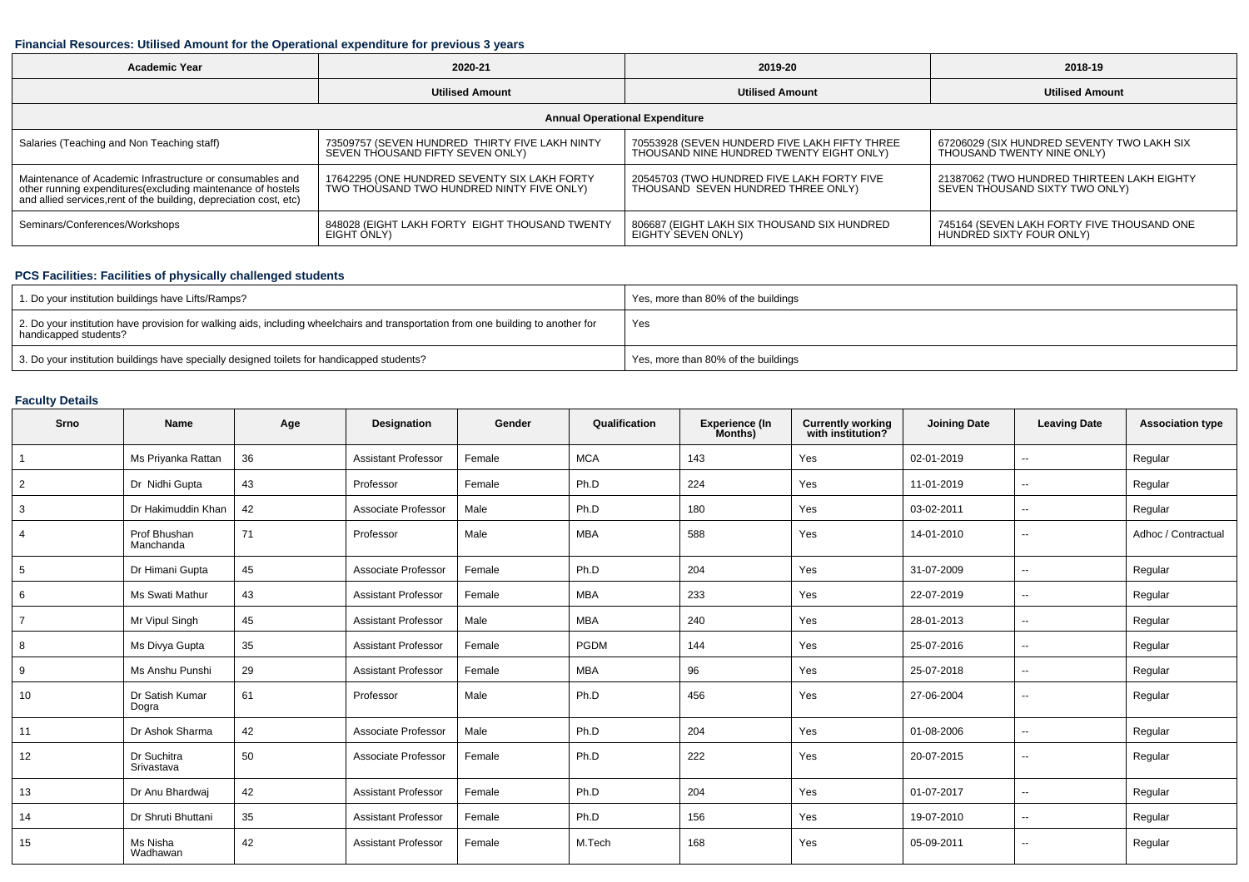### **Financial Resources: Utilised Amount for the Operational expenditure for previous 3 years**

| <b>Academic Year</b>                                                                                                              | 2020-21                                        | 2019-20                                       | 2018-19                                    |  |  |  |  |  |  |
|-----------------------------------------------------------------------------------------------------------------------------------|------------------------------------------------|-----------------------------------------------|--------------------------------------------|--|--|--|--|--|--|
|                                                                                                                                   | <b>Utilised Amount</b>                         | <b>Utilised Amount</b>                        | <b>Utilised Amount</b>                     |  |  |  |  |  |  |
| <b>Annual Operational Expenditure</b>                                                                                             |                                                |                                               |                                            |  |  |  |  |  |  |
| Salaries (Teaching and Non Teaching staff)                                                                                        | 73509757 (SEVEN HUNDRED THIRTY FIVE LAKH NINTY | 70553928 (SEVEN HUNDERD FIVE LAKH FIFTY THREE | 67206029 (SIX HUNDRED SEVENTY TWO LAKH SIX |  |  |  |  |  |  |
|                                                                                                                                   | SEVEN THOUSAND FIFTY SEVEN ONLY)               | THOUSAND NINE HUNDRED TWENTY EIGHT ONLY)      | THOUSAND TWENTY NINE ONLY)                 |  |  |  |  |  |  |
| Maintenance of Academic Infrastructure or consumables and                                                                         | 17642295 (ONE HUNDRED SEVENTY SIX LAKH FORTY   | 20545703 (TWO HUNDRED FIVE LAKH FORTY FIVE    | 21387062 (TWO HUNDRED THIRTEEN LAKH EIGHTY |  |  |  |  |  |  |
| other running expenditures(excluding maintenance of hostels<br>and allied services, rent of the building, depreciation cost, etc) | TWO THOUSAND TWO HUNDRED NINTY FIVE ONLY)      | THOUSAND SEVEN HUNDRED THREE ONLY)            | SEVEN THOUSAND SIXTY TWO ONLY)             |  |  |  |  |  |  |
| Seminars/Conferences/Workshops                                                                                                    | 848028 (EIGHT LAKH FORTY EIGHT THOUSAND TWENTY | 806687 (EIGHT LAKH SIX THOUSAND SIX HUNDRED   | 745164 (SEVEN LAKH FORTY FIVE THOUSAND ONE |  |  |  |  |  |  |
|                                                                                                                                   | EIGHT ONLY)                                    | EIGHTY SEVEN ONLY)                            | HUNDRED SIXTY FOUR ONLY)                   |  |  |  |  |  |  |

# **PCS Facilities: Facilities of physically challenged students**

| 1. Do your institution buildings have Lifts/Ramps?                                                                                                         | Yes, more than 80% of the buildings |
|------------------------------------------------------------------------------------------------------------------------------------------------------------|-------------------------------------|
| 2. Do your institution have provision for walking aids, including wheelchairs and transportation from one building to another for<br>handicapped students? | Yes                                 |
| 3. Do your institution buildings have specially designed toilets for handicapped students?                                                                 | Yes, more than 80% of the buildings |

### **Faculty Details**

| Srno | Name                      | Age | Designation                | Gender | Qualification | <b>Experience (In</b><br>Months) | <b>Currently working</b><br>with institution? | <b>Joining Date</b> | <b>Leaving Date</b>      | <b>Association type</b> |
|------|---------------------------|-----|----------------------------|--------|---------------|----------------------------------|-----------------------------------------------|---------------------|--------------------------|-------------------------|
|      | Ms Priyanka Rattan        | 36  | <b>Assistant Professor</b> | Female | <b>MCA</b>    | 143                              | Yes                                           | 02-01-2019          | --                       | Regular                 |
| 2    | Dr Nidhi Gupta            | 43  | Professor                  | Female | Ph.D          | 224                              | Yes                                           | 11-01-2019          | $\overline{\phantom{a}}$ | Regular                 |
| 3    | Dr Hakimuddin Khan        | 42  | Associate Professor        | Male   | Ph.D          | 180                              | Yes                                           | 03-02-2011          | $\overline{\phantom{a}}$ | Regular                 |
|      | Prof Bhushan<br>Manchanda | 71  | Professor                  | Male   | <b>MBA</b>    | 588                              | Yes                                           | 14-01-2010          | $\overline{\phantom{a}}$ | Adhoc / Contractual     |
| 5    | Dr Himani Gupta           | 45  | Associate Professor        | Female | Ph.D          | 204                              | Yes                                           | 31-07-2009          | $\overline{\phantom{a}}$ | Regular                 |
| 6    | <b>Ms Swati Mathur</b>    | 43  | <b>Assistant Professor</b> | Female | <b>MBA</b>    | 233                              | Yes                                           | 22-07-2019          | $\overline{\phantom{a}}$ | Regular                 |
|      | Mr Vipul Singh            | 45  | <b>Assistant Professor</b> | Male   | <b>MBA</b>    | 240                              | Yes                                           | 28-01-2013          | $\overline{\phantom{a}}$ | Regular                 |
| 8    | Ms Divya Gupta            | 35  | <b>Assistant Professor</b> | Female | <b>PGDM</b>   | 144                              | Yes                                           | 25-07-2016          | $\overline{\phantom{a}}$ | Regular                 |
| 9    | Ms Anshu Punshi           | 29  | <b>Assistant Professor</b> | Female | <b>MBA</b>    | 96                               | Yes                                           | 25-07-2018          | $\overline{\phantom{a}}$ | Regular                 |
| 10   | Dr Satish Kumar<br>Dogra  | 61  | Professor                  | Male   | Ph.D          | 456                              | Yes                                           | 27-06-2004          | $\overline{\phantom{a}}$ | Regular                 |
| 11   | Dr Ashok Sharma           | 42  | Associate Professor        | Male   | Ph.D          | 204                              | Yes                                           | 01-08-2006          | $\overline{\phantom{a}}$ | Regular                 |
| 12   | Dr Suchitra<br>Srivastava | 50  | Associate Professor        | Female | Ph.D          | 222                              | Yes                                           | 20-07-2015          | $\overline{\phantom{a}}$ | Regular                 |
| 13   | Dr Anu Bhardwai           | 42  | <b>Assistant Professor</b> | Female | Ph.D          | 204                              | Yes                                           | 01-07-2017          | $\overline{\phantom{a}}$ | Regular                 |
| 14   | Dr Shruti Bhuttani        | 35  | <b>Assistant Professor</b> | Female | Ph.D          | 156                              | Yes                                           | 19-07-2010          | $\sim$                   | Regular                 |
| 15   | Ms Nisha<br>Wadhawan      | 42  | <b>Assistant Professor</b> | Female | M.Tech        | 168                              | Yes                                           | 05-09-2011          | $\overline{\phantom{a}}$ | Regular                 |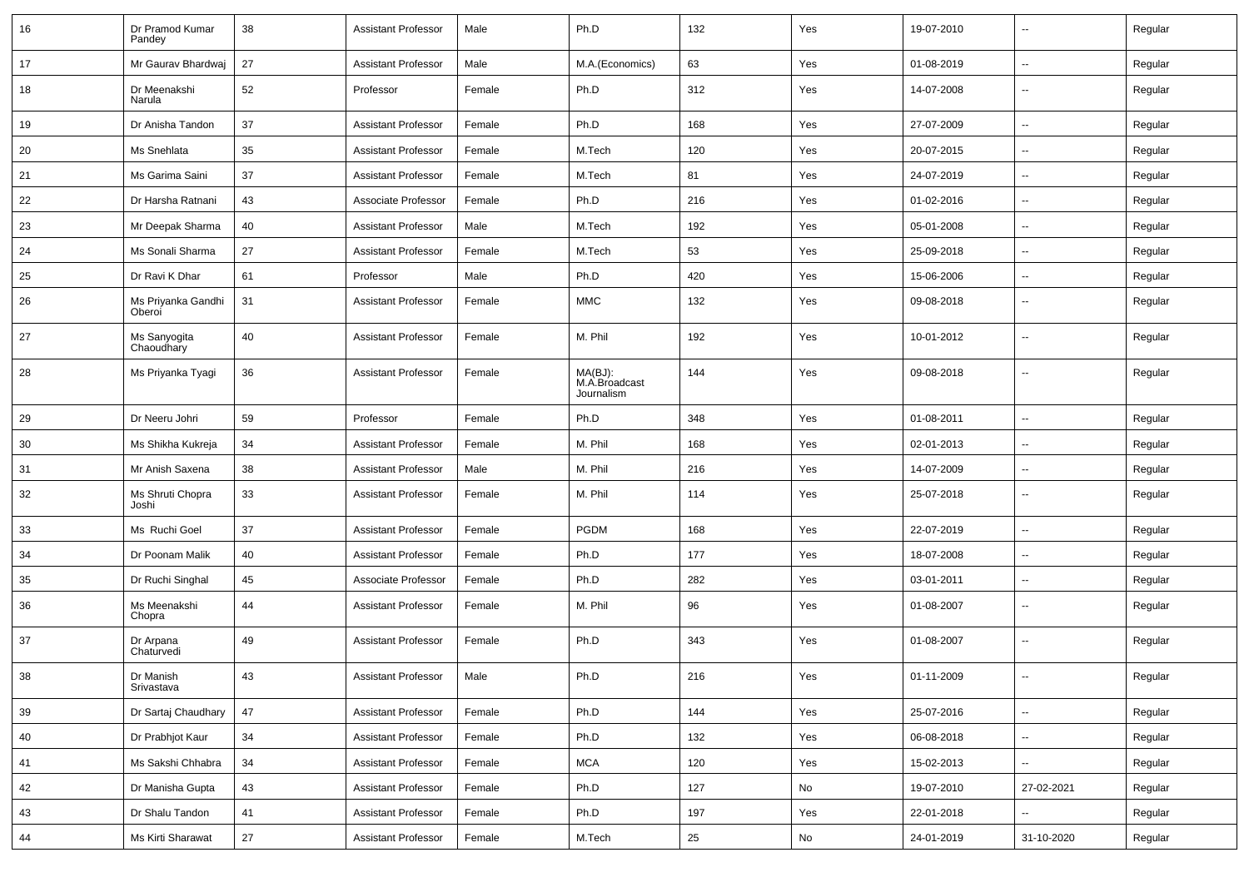| 16 | Dr Pramod Kumar<br>Pandey    | 38     | <b>Assistant Professor</b> | Male   | Ph.D                                   | 132 | Yes | 19-07-2010 | $\overline{\phantom{a}}$ | Regular |
|----|------------------------------|--------|----------------------------|--------|----------------------------------------|-----|-----|------------|--------------------------|---------|
| 17 | Mr Gaurav Bhardwaj           | 27     | <b>Assistant Professor</b> | Male   | M.A.(Economics)                        | 63  | Yes | 01-08-2019 | $\sim$                   | Regular |
| 18 | Dr Meenakshi<br>Narula       | 52     | Professor                  | Female | Ph.D                                   | 312 | Yes | 14-07-2008 | --                       | Regular |
| 19 | Dr Anisha Tandon             | 37     | <b>Assistant Professor</b> | Female | Ph.D                                   | 168 | Yes | 27-07-2009 | -−                       | Regular |
| 20 | Ms Snehlata                  | 35     | <b>Assistant Professor</b> | Female | M.Tech                                 | 120 | Yes | 20-07-2015 | -−                       | Regular |
| 21 | Ms Garima Saini              | 37     | <b>Assistant Professor</b> | Female | M.Tech                                 | 81  | Yes | 24-07-2019 | $\overline{\phantom{a}}$ | Regular |
| 22 | Dr Harsha Ratnani            | 43     | Associate Professor        | Female | Ph.D                                   | 216 | Yes | 01-02-2016 | --                       | Regular |
| 23 | Mr Deepak Sharma             | 40     | <b>Assistant Professor</b> | Male   | M.Tech                                 | 192 | Yes | 05-01-2008 | $\overline{\phantom{a}}$ | Regular |
| 24 | Ms Sonali Sharma             | 27     | <b>Assistant Professor</b> | Female | M.Tech                                 | 53  | Yes | 25-09-2018 | $\overline{\phantom{a}}$ | Regular |
| 25 | Dr Ravi K Dhar               | 61     | Professor                  | Male   | Ph.D                                   | 420 | Yes | 15-06-2006 | --                       | Regular |
| 26 | Ms Priyanka Gandhi<br>Oberoi | 31     | <b>Assistant Professor</b> | Female | <b>MMC</b>                             | 132 | Yes | 09-08-2018 | -−                       | Regular |
| 27 | Ms Sanyogita<br>Chaoudhary   | 40     | <b>Assistant Professor</b> | Female | M. Phil                                | 192 | Yes | 10-01-2012 | --                       | Regular |
| 28 | Ms Priyanka Tyagi            | 36     | <b>Assistant Professor</b> | Female | MA(BJ):<br>M.A.Broadcast<br>Journalism | 144 | Yes | 09-08-2018 | --                       | Regular |
| 29 | Dr Neeru Johri               | 59     | Professor                  | Female | Ph.D                                   | 348 | Yes | 01-08-2011 | -−                       | Regular |
| 30 | Ms Shikha Kukreja            | 34     | <b>Assistant Professor</b> | Female | M. Phil                                | 168 | Yes | 02-01-2013 | --                       | Regular |
| 31 | Mr Anish Saxena              | 38     | <b>Assistant Professor</b> | Male   | M. Phil                                | 216 | Yes | 14-07-2009 | --                       | Regular |
| 32 | Ms Shruti Chopra<br>Joshi    | 33     | <b>Assistant Professor</b> | Female | M. Phil                                | 114 | Yes | 25-07-2018 | ۵.                       | Regular |
| 33 | Ms Ruchi Goel                | 37     | <b>Assistant Professor</b> | Female | <b>PGDM</b>                            | 168 | Yes | 22-07-2019 | -−                       | Regular |
| 34 | Dr Poonam Malik              | 40     | <b>Assistant Professor</b> | Female | Ph.D                                   | 177 | Yes | 18-07-2008 | $\overline{\phantom{a}}$ | Regular |
| 35 | Dr Ruchi Singhal             | 45     | Associate Professor        | Female | Ph.D                                   | 282 | Yes | 03-01-2011 | ⊷.                       | Regular |
| 36 | Ms Meenakshi<br>Chopra       | 44     | <b>Assistant Professor</b> | Female | M. Phil                                | 96  | Yes | 01-08-2007 | --                       | Regular |
| 37 | Dr Arpana<br>Chaturvedi      | 49     | <b>Assistant Professor</b> | Female | Ph.D                                   | 343 | Yes | 01-08-2007 | --                       | Regular |
| 38 | Dr Manish<br>Srivastava      | 43     | <b>Assistant Professor</b> | Male   | Ph.D                                   | 216 | Yes | 01-11-2009 | $\overline{\phantom{a}}$ | Regular |
| 39 | Dr Sartaj Chaudhary          | 47     | <b>Assistant Professor</b> | Female | Ph.D                                   | 144 | Yes | 25-07-2016 | Щ,                       | Regular |
| 40 | Dr Prabhjot Kaur             | 34     | <b>Assistant Professor</b> | Female | Ph.D                                   | 132 | Yes | 06-08-2018 | $\overline{\phantom{a}}$ | Regular |
| 41 | Ms Sakshi Chhabra            | 34     | <b>Assistant Professor</b> | Female | <b>MCA</b>                             | 120 | Yes | 15-02-2013 | $\overline{\phantom{a}}$ | Regular |
| 42 | Dr Manisha Gupta             | 43     | <b>Assistant Professor</b> | Female | Ph.D                                   | 127 | No  | 19-07-2010 | 27-02-2021               | Regular |
| 43 | Dr Shalu Tandon              | 41     | <b>Assistant Professor</b> | Female | Ph.D                                   | 197 | Yes | 22-01-2018 | ш,                       | Regular |
| 44 | Ms Kirti Sharawat            | $27\,$ | <b>Assistant Professor</b> | Female | M.Tech                                 | 25  | No  | 24-01-2019 | 31-10-2020               | Regular |